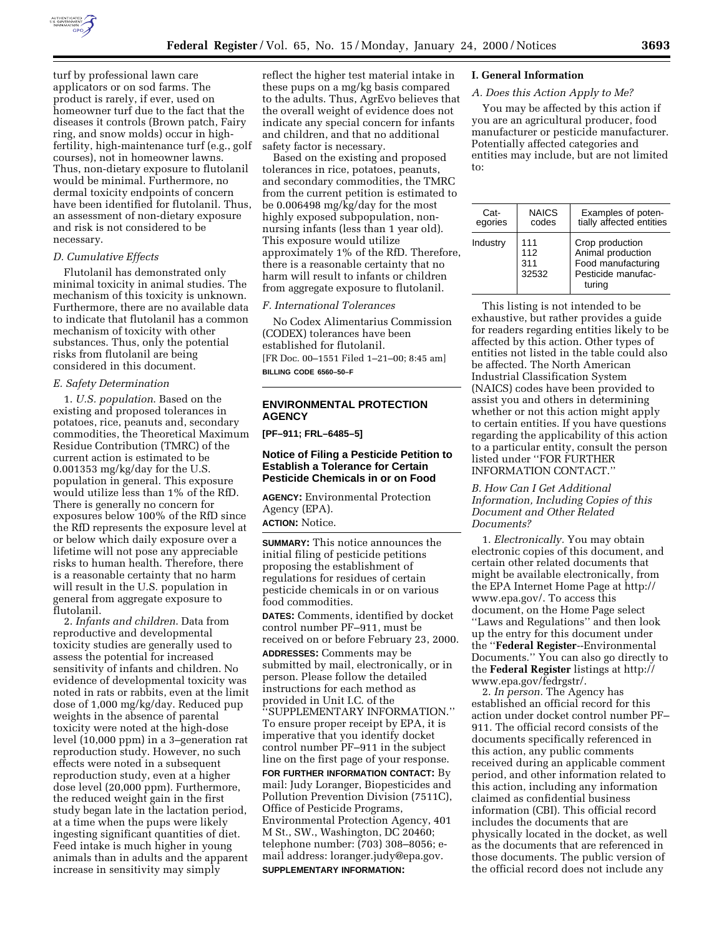

turf by professional lawn care applicators or on sod farms. The product is rarely, if ever, used on homeowner turf due to the fact that the diseases it controls (Brown patch, Fairy ring, and snow molds) occur in highfertility, high-maintenance turf (e.g., golf courses), not in homeowner lawns. Thus, non-dietary exposure to flutolanil would be minimal. Furthermore, no dermal toxicity endpoints of concern have been identified for flutolanil. Thus, an assessment of non-dietary exposure and risk is not considered to be necessary.

# *D. Cumulative Effects*

Flutolanil has demonstrated only minimal toxicity in animal studies. The mechanism of this toxicity is unknown. Furthermore, there are no available data to indicate that flutolanil has a common mechanism of toxicity with other substances. Thus, only the potential risks from flutolanil are being considered in this document.

## *E. Safety Determination*

1. *U.S. population*. Based on the existing and proposed tolerances in potatoes, rice, peanuts and, secondary commodities, the Theoretical Maximum Residue Contribution (TMRC) of the current action is estimated to be 0.001353 mg/kg/day for the U.S. population in general. This exposure would utilize less than 1% of the RfD. There is generally no concern for exposures below 100% of the RfD since the RfD represents the exposure level at or below which daily exposure over a lifetime will not pose any appreciable risks to human health. Therefore, there is a reasonable certainty that no harm will result in the U.S. population in general from aggregate exposure to flutolanil.

2. *Infants and children*. Data from reproductive and developmental toxicity studies are generally used to assess the potential for increased sensitivity of infants and children. No evidence of developmental toxicity was noted in rats or rabbits, even at the limit dose of 1,000 mg/kg/day. Reduced pup weights in the absence of parental toxicity were noted at the high-dose level (10,000 ppm) in a 3–generation rat reproduction study. However, no such effects were noted in a subsequent reproduction study, even at a higher dose level (20,000 ppm). Furthermore, the reduced weight gain in the first study began late in the lactation period, at a time when the pups were likely ingesting significant quantities of diet. Feed intake is much higher in young animals than in adults and the apparent increase in sensitivity may simply

reflect the higher test material intake in these pups on a mg/kg basis compared to the adults. Thus, AgrEvo believes that the overall weight of evidence does not indicate any special concern for infants and children, and that no additional safety factor is necessary.

Based on the existing and proposed tolerances in rice, potatoes, peanuts, and secondary commodities, the TMRC from the current petition is estimated to be 0.006498 mg/kg/day for the most highly exposed subpopulation, nonnursing infants (less than 1 year old). This exposure would utilize approximately 1% of the RfD. Therefore, there is a reasonable certainty that no harm will result to infants or children from aggregate exposure to flutolanil.

## *F. International Tolerances*

No Codex Alimentarius Commission (CODEX) tolerances have been established for flutolanil. [FR Doc. 00–1551 Filed 1–21–00; 8:45 am] **BILLING CODE 6560–50–F**

# **ENVIRONMENTAL PROTECTION AGENCY**

**[PF–911; FRL–6485–5]**

# **Notice of Filing a Pesticide Petition to Establish a Tolerance for Certain Pesticide Chemicals in or on Food**

**AGENCY:** Environmental Protection Agency (EPA). **ACTION:** Notice.

**SUMMARY:** This notice announces the initial filing of pesticide petitions proposing the establishment of regulations for residues of certain pesticide chemicals in or on various food commodities.

**DATES:** Comments, identified by docket control number PF–911, must be received on or before February 23, 2000.

**ADDRESSES:** Comments may be submitted by mail, electronically, or in person. Please follow the detailed instructions for each method as provided in Unit I.C. of the ''SUPPLEMENTARY INFORMATION.'' To ensure proper receipt by EPA, it is imperative that you identify docket control number PF–911 in the subject line on the first page of your response. **FOR FURTHER INFORMATION CONTACT:** By mail: Judy Loranger, Biopesticides and Pollution Prevention Division (7511C), Office of Pesticide Programs, Environmental Protection Agency, 401 M St., SW., Washington, DC 20460; telephone number: (703) 308–8056; email address: loranger.judy@epa.gov. **SUPPLEMENTARY INFORMATION:**

### **I. General Information**

## *A. Does this Action Apply to Me?*

You may be affected by this action if you are an agricultural producer, food manufacturer or pesticide manufacturer. Potentially affected categories and entities may include, but are not limited to:

| Cat-<br>egories | <b>NAICS</b><br>codes      | Examples of poten-<br>tially affected entities                                             |
|-----------------|----------------------------|--------------------------------------------------------------------------------------------|
| Industry        | 111<br>112<br>311<br>32532 | Crop production<br>Animal production<br>Food manufacturing<br>Pesticide manufac-<br>turing |

This listing is not intended to be exhaustive, but rather provides a guide for readers regarding entities likely to be affected by this action. Other types of entities not listed in the table could also be affected. The North American Industrial Classification System (NAICS) codes have been provided to assist you and others in determining whether or not this action might apply to certain entities. If you have questions regarding the applicability of this action to a particular entity, consult the person listed under ''FOR FURTHER INFORMATION CONTACT.''

*B. How Can I Get Additional Information, Including Copies of this Document and Other Related Documents?*

1. *Electronically.* You may obtain electronic copies of this document, and certain other related documents that might be available electronically, from the EPA Internet Home Page at http:// www.epa.gov/. To access this document, on the Home Page select ''Laws and Regulations'' and then look up the entry for this document under the ''**Federal Register**--Environmental Documents.'' You can also go directly to the **Federal Register** listings at http:// www.epa.gov/fedrgstr/.

2. *In person.* The Agency has established an official record for this action under docket control number PF– 911. The official record consists of the documents specifically referenced in this action, any public comments received during an applicable comment period, and other information related to this action, including any information claimed as confidential business information (CBI). This official record includes the documents that are physically located in the docket, as well as the documents that are referenced in those documents. The public version of the official record does not include any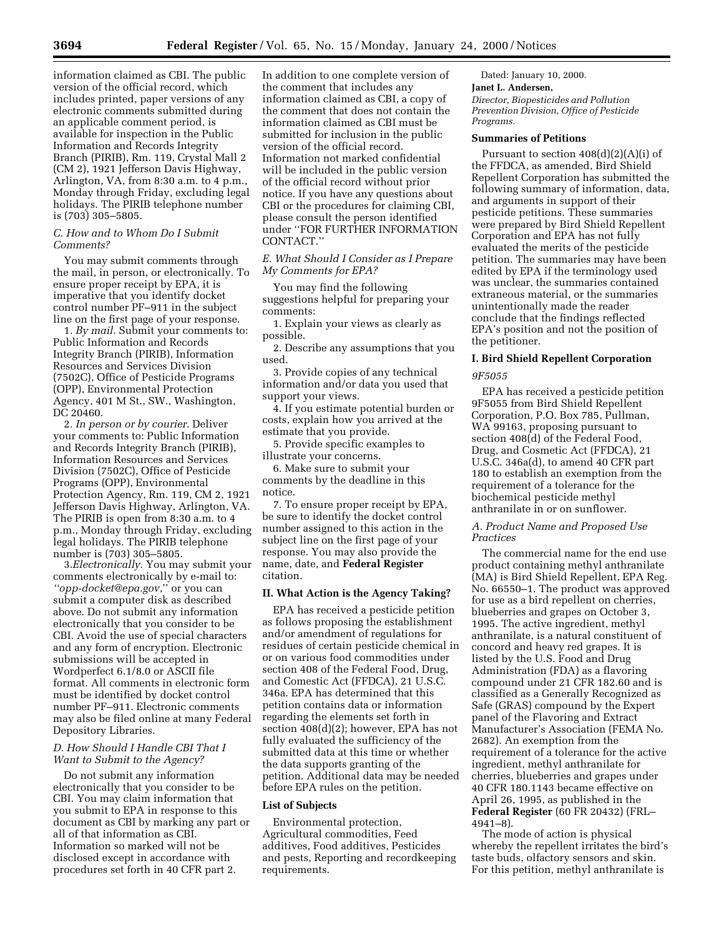information claimed as CBI. The public version of the official record, which includes printed, paper versions of any electronic comments submitted during an applicable comment period, is available for inspection in the Public Information and Records Integrity Branch (PIRIB), Rm. 119, Crystal Mall 2 (CM 2), 1921 Jefferson Davis Highway, Arlington, VA, from 8:30 a.m. to 4 p.m., Monday through Friday, excluding legal holidays. The PIRIB telephone number is (703) 305–5805.

# *C. How and to Whom Do I Submit Comments?*

You may submit comments through the mail, in person, or electronically. To ensure proper receipt by EPA, it is imperative that you identify docket control number PF–911 in the subject line on the first page of your response.

1*. By mail.* Submit your comments to: Public Information and Records Integrity Branch (PIRIB), Information Resources and Services Division (7502C), Office of Pesticide Programs (OPP), Environmental Protection Agency, 401 M St., SW., Washington, DC 20460.

2*. In person or by courier.* Deliver your comments to: Public Information and Records Integrity Branch (PIRIB), Information Resources and Services Division (7502C), Office of Pesticide Programs (OPP), Environmental Protection Agency, Rm. 119, CM 2, 1921 Jefferson Davis Highway, Arlington, VA. The PIRIB is open from 8:30 a.m. to 4 p.m., Monday through Friday, excluding legal holidays. The PIRIB telephone number is (703) 305–5805.

3.*Electronically.* You may submit your comments electronically by e-mail to: *''opp-docket@epa.gov*,'' or you can submit a computer disk as described above. Do not submit any information electronically that you consider to be CBI. Avoid the use of special characters and any form of encryption. Electronic submissions will be accepted in Wordperfect 6.1/8.0 or ASCII file format. All comments in electronic form must be identified by docket control number PF–911. Electronic comments may also be filed online at many Federal Depository Libraries.

# *D. How Should I Handle CBI That I Want to Submit to the Agency?*

Do not submit any information electronically that you consider to be CBI. You may claim information that you submit to EPA in response to this document as CBI by marking any part or all of that information as CBI. Information so marked will not be disclosed except in accordance with procedures set forth in 40 CFR part 2.

In addition to one complete version of the comment that includes any information claimed as CBI, a copy of the comment that does not contain the information claimed as CBI must be submitted for inclusion in the public version of the official record. Information not marked confidential will be included in the public version of the official record without prior notice. If you have any questions about CBI or the procedures for claiming CBI, please consult the person identified under ''FOR FURTHER INFORMATION CONTACT.''

*E. What Should I Consider as I Prepare My Comments for EPA?*

You may find the following suggestions helpful for preparing your comments:

1. Explain your views as clearly as possible.

2. Describe any assumptions that you used.

3. Provide copies of any technical information and/or data you used that support your views.

4. If you estimate potential burden or costs, explain how you arrived at the estimate that you provide.

5. Provide specific examples to illustrate your concerns.

6. Make sure to submit your comments by the deadline in this notice.

7. To ensure proper receipt by EPA, be sure to identify the docket control number assigned to this action in the subject line on the first page of your response. You may also provide the name, date, and **Federal Register** citation.

# **II. What Action is the Agency Taking?**

EPA has received a pesticide petition as follows proposing the establishment and/or amendment of regulations for residues of certain pesticide chemical in or on various food commodities under section 408 of the Federal Food, Drug, and Comestic Act (FFDCA), 21 U.S.C. 346a. EPA has determined that this petition contains data or information regarding the elements set forth in section 408(d)(2); however, EPA has not fully evaluated the sufficiency of the submitted data at this time or whether the data supports granting of the petition. Additional data may be needed before EPA rules on the petition.

# **List of Subjects**

Environmental protection, Agricultural commodities, Feed additives, Food additives, Pesticides and pests, Reporting and recordkeeping requirements.

Dated: January 10, 2000. **Janet L. Andersen,** *Director, Biopesticides and Pollution Prevention Division, Office of Pesticide Programs.*

#### **Summaries of Petitions**

Pursuant to section 408(d)(2)(A)(i) of the FFDCA, as amended, Bird Shield Repellent Corporation has submitted the following summary of information, data, and arguments in support of their pesticide petitions. These summaries were prepared by Bird Shield Repellent Corporation and EPA has not fully evaluated the merits of the pesticide petition. The summaries may have been edited by EPA if the terminology used was unclear, the summaries contained extraneous material, or the summaries unintentionally made the reader conclude that the findings reflected EPA's position and not the position of the petitioner.

# **I. Bird Shield Repellent Corporation**

#### *9F5055*

EPA has received a pesticide petition 9F5055 from Bird Shield Repellent Corporation, P.O. Box 785, Pullman, WA 99163, proposing pursuant to section 408(d) of the Federal Food, Drug, and Cosmetic Act (FFDCA), 21 U.S.C. 346a(d), to amend 40 CFR part 180 to establish an exemption from the requirement of a tolerance for the biochemical pesticide methyl anthranilate in or on sunflower.

## *A. Product Name and Proposed Use Practices*

The commercial name for the end use product containing methyl anthranilate (MA) is Bird Shield Repellent, EPA Reg. No. 66550–1. The product was approved for use as a bird repellent on cherries, blueberries and grapes on October 3, 1995. The active ingredient, methyl anthranilate, is a natural constituent of concord and heavy red grapes. It is listed by the U.S. Food and Drug Administration (FDA) as a flavoring compound under 21 CFR 182.60 and is classified as a Generally Recognized as Safe (GRAS) compound by the Expert panel of the Flavoring and Extract Manufacturer's Association (FEMA No. 2682). An exemption from the requirement of a tolerance for the active ingredient, methyl anthranilate for cherries, blueberries and grapes under 40 CFR 180.1143 became effective on April 26, 1995, as published in the **Federal Register** (60 FR 20432) (FRL– 4941–8).

The mode of action is physical whereby the repellent irritates the bird's taste buds, olfactory sensors and skin. For this petition, methyl anthranilate is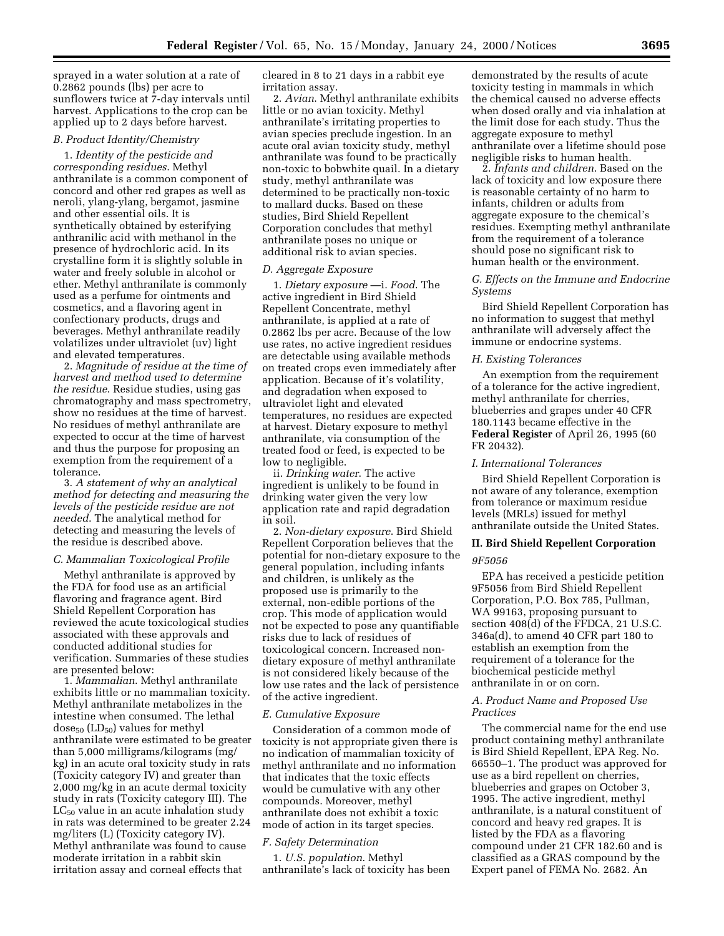sprayed in a water solution at a rate of 0.2862 pounds (lbs) per acre to sunflowers twice at 7-day intervals until harvest. Applications to the crop can be applied up to 2 days before harvest.

# *B. Product Identity/Chemistry*

1. *Identity of the pesticide and corresponding residues*. Methyl anthranilate is a common component of concord and other red grapes as well as neroli, ylang-ylang, bergamot, jasmine and other essential oils. It is synthetically obtained by esterifying anthranilic acid with methanol in the presence of hydrochloric acid. In its crystalline form it is slightly soluble in water and freely soluble in alcohol or ether. Methyl anthranilate is commonly used as a perfume for ointments and cosmetics, and a flavoring agent in confectionary products, drugs and beverages. Methyl anthranilate readily volatilizes under ultraviolet (uv) light and elevated temperatures.

2. *Magnitude of residue at the time of harvest and method used to determine the residue*. Residue studies, using gas chromatography and mass spectrometry, show no residues at the time of harvest. No residues of methyl anthranilate are expected to occur at the time of harvest and thus the purpose for proposing an exemption from the requirement of a tolerance.

3. *A statement of why an analytical method for detecting and measuring the levels of the pesticide residue are not needed*. The analytical method for detecting and measuring the levels of the residue is described above.

### *C. Mammalian Toxicological Profile*

Methyl anthranilate is approved by the FDA for food use as an artificial flavoring and fragrance agent. Bird Shield Repellent Corporation has reviewed the acute toxicological studies associated with these approvals and conducted additional studies for verification. Summaries of these studies are presented below:

1. *Mammalian*. Methyl anthranilate exhibits little or no mammalian toxicity. Methyl anthranilate metabolizes in the intestine when consumed. The lethal dose<sub>50</sub> (LD<sub>50</sub>) values for methyl anthranilate were estimated to be greater than 5,000 milligrams/kilograms (mg/ kg) in an acute oral toxicity study in rats (Toxicity category IV) and greater than 2,000 mg/kg in an acute dermal toxicity study in rats (Toxicity category III). The  $LC_{50}$  value in an acute inhalation study in rats was determined to be greater 2.24 mg/liters (L) (Toxicity category IV). Methyl anthranilate was found to cause moderate irritation in a rabbit skin irritation assay and corneal effects that

cleared in 8 to 21 days in a rabbit eye irritation assay.

2. *Avian*. Methyl anthranilate exhibits little or no avian toxicity. Methyl anthranilate's irritating properties to avian species preclude ingestion. In an acute oral avian toxicity study, methyl anthranilate was found to be practically non-toxic to bobwhite quail. In a dietary study, methyl anthranilate was determined to be practically non-toxic to mallard ducks. Based on these studies, Bird Shield Repellent Corporation concludes that methyl anthranilate poses no unique or additional risk to avian species.

#### *D. Aggregate Exposure*

1. *Dietary exposure* —i. *Food*. The active ingredient in Bird Shield Repellent Concentrate, methyl anthranilate, is applied at a rate of 0.2862 lbs per acre. Because of the low use rates, no active ingredient residues are detectable using available methods on treated crops even immediately after application. Because of it's volatility, and degradation when exposed to ultraviolet light and elevated temperatures, no residues are expected at harvest. Dietary exposure to methyl anthranilate, via consumption of the treated food or feed, is expected to be low to negligible.

ii. *Drinking water*. The active ingredient is unlikely to be found in drinking water given the very low application rate and rapid degradation in soil.

2. *Non-dietary exposure*. Bird Shield Repellent Corporation believes that the potential for non-dietary exposure to the general population, including infants and children, is unlikely as the proposed use is primarily to the external, non-edible portions of the crop. This mode of application would not be expected to pose any quantifiable risks due to lack of residues of toxicological concern. Increased nondietary exposure of methyl anthranilate is not considered likely because of the low use rates and the lack of persistence of the active ingredient.

### *E. Cumulative Exposure*

Consideration of a common mode of toxicity is not appropriate given there is no indication of mammalian toxicity of methyl anthranilate and no information that indicates that the toxic effects would be cumulative with any other compounds. Moreover, methyl anthranilate does not exhibit a toxic mode of action in its target species.

# *F. Safety Determination*

1. *U.S. population*. Methyl anthranilate's lack of toxicity has been

demonstrated by the results of acute toxicity testing in mammals in which the chemical caused no adverse effects when dosed orally and via inhalation at the limit dose for each study. Thus the aggregate exposure to methyl anthranilate over a lifetime should pose negligible risks to human health.

2. *Infants and children*. Based on the lack of toxicity and low exposure there is reasonable certainty of no harm to infants, children or adults from aggregate exposure to the chemical's residues. Exempting methyl anthranilate from the requirement of a tolerance should pose no significant risk to human health or the environment.

# *G. Effects on the Immune and Endocrine Systems*

Bird Shield Repellent Corporation has no information to suggest that methyl anthranilate will adversely affect the immune or endocrine systems.

# *H. Existing Tolerances*

An exemption from the requirement of a tolerance for the active ingredient, methyl anthranilate for cherries, blueberries and grapes under 40 CFR 180.1143 became effective in the **Federal Register** of April 26, 1995 (60 FR 20432).

#### *I. International Tolerances*

Bird Shield Repellent Corporation is not aware of any tolerance, exemption from tolerance or maximum residue levels (MRLs) issued for methyl anthranilate outside the United States.

# **II. Bird Shield Repellent Corporation**

#### *9F5056*

EPA has received a pesticide petition 9F5056 from Bird Shield Repellent Corporation, P.O. Box 785, Pullman, WA 99163, proposing pursuant to section 408(d) of the FFDCA, 21 U.S.C. 346a(d), to amend 40 CFR part 180 to establish an exemption from the requirement of a tolerance for the biochemical pesticide methyl anthranilate in or on corn.

# *A. Product Name and Proposed Use Practices*

The commercial name for the end use product containing methyl anthranilate is Bird Shield Repellent, EPA Reg. No. 66550–1. The product was approved for use as a bird repellent on cherries, blueberries and grapes on October 3, 1995. The active ingredient, methyl anthranilate, is a natural constituent of concord and heavy red grapes. It is listed by the FDA as a flavoring compound under 21 CFR 182.60 and is classified as a GRAS compound by the Expert panel of FEMA No. 2682. An